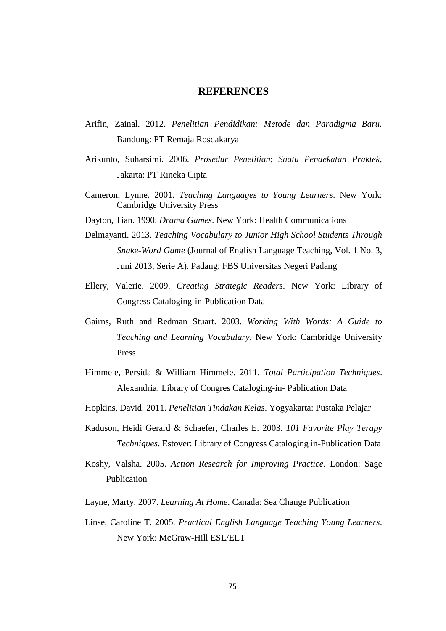## **REFERENCES**

- Arifin, Zainal. 2012. *Penelitian Pendidikan: Metode dan Paradigma Baru.* Bandung: PT Remaja Rosdakarya
- Arikunto, Suharsimi. 2006. *Prosedur Penelitian*; *Suatu Pendekatan Praktek*, Jakarta: PT Rineka Cipta
- Cameron, Lynne. 2001. *Teaching Languages to Young Learners*. New York: Cambridge University Press
- Dayton, Tian. 1990. *Drama Games*. New York: Health Communications
- Delmayanti. 2013. *Teaching Vocabulary to Junior High School Students Through Snake-Word Game* (Journal of English Language Teaching, Vol. 1 No. 3, Juni 2013, Serie A). Padang: FBS Universitas Negeri Padang
- Ellery, Valerie. 2009. *Creating Strategic Readers*. New York: Library of Congress Cataloging-in-Publication Data
- Gairns, Ruth and Redman Stuart. 2003. *Working With Words: A Guide to Teaching and Learning Vocabulary*. New York: Cambridge University Press
- Himmele, Persida & William Himmele. 2011. *Total Participation Techniques*. Alexandria: Library of Congres Cataloging-in- Pablication Data
- Hopkins, David. 2011. *Penelitian Tindakan Kelas*. Yogyakarta: Pustaka Pelajar
- Kaduson, Heidi Gerard & Schaefer, Charles E. 2003. *101 Favorite Play Terapy Techniques*. Estover: Library of Congress Cataloging in-Publication Data
- Koshy, Valsha. 2005. *Action Research for Improving Practice.* London: Sage Publication
- Layne, Marty. 2007. *Learning At Home*. Canada: Sea Change Publication
- Linse, Caroline T. 2005. *Practical English Language Teaching Young Learners*. New York: McGraw-Hill ESL/ELT